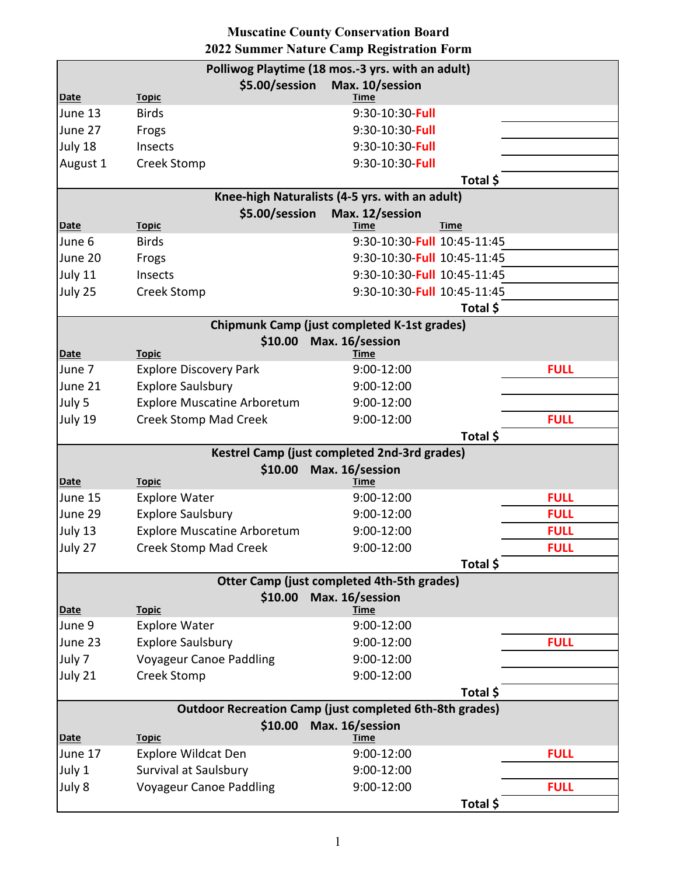| <b>Muscatine County Conservation Board</b>       |                |                                                    |                             |          |  |
|--------------------------------------------------|----------------|----------------------------------------------------|-----------------------------|----------|--|
| 2022 Summer Nature Camp Registration Form        |                |                                                    |                             |          |  |
| Polliwog Playtime (18 mos.-3 yrs. with an adult) |                |                                                    |                             |          |  |
| <b>Date</b>                                      | <b>Topic</b>   | \$5.00/session                                     | Max. 10/session<br>Time     |          |  |
| June 13                                          | <b>Birds</b>   |                                                    | 9:30-10:30-Full             |          |  |
| June 27                                          | Frogs          |                                                    | 9:30-10:30 Full             |          |  |
| July 18                                          | <b>Insects</b> |                                                    | 9:30-10:30 Full             |          |  |
| August 1                                         | Creek Stomp    |                                                    | 9:30-10:30-Full             |          |  |
|                                                  |                |                                                    |                             | Total \$ |  |
| Knee-high Naturalists (4-5 yrs. with an adult)   |                |                                                    |                             |          |  |
|                                                  |                | \$5.00/session                                     | Max. 12/session             |          |  |
| <u>Date</u>                                      | <b>Topic</b>   |                                                    | Time                        | Time     |  |
| June 6                                           | <b>Birds</b>   |                                                    | 9:30-10:30-Full 10:45-11:45 |          |  |
| June 20                                          | Frogs          |                                                    | 9:30-10:30-Full 10:45-11:45 |          |  |
| July 11                                          | Insects        |                                                    | 9:30-10:30-Full 10:45-11:45 |          |  |
| July 25                                          | Creek Stomp    |                                                    | 9:30-10:30-Full 10:45-11:45 |          |  |
|                                                  |                |                                                    |                             | Total \$ |  |
|                                                  |                | <b>Chipmunk Camp (just completed K-1st grades)</b> |                             |          |  |
| Max. 16/session<br>\$10.00                       |                |                                                    |                             |          |  |
| Date                                             | <b>Topic</b>   |                                                    | Time                        |          |  |

## **Muscatine County Conservation Board**

| <u>Date</u> | <u>Topic</u>                       | Time                                                           |             |             |
|-------------|------------------------------------|----------------------------------------------------------------|-------------|-------------|
| June 13     | <b>Birds</b>                       | 9:30-10:30-Full                                                |             |             |
| June 27     | Frogs                              | 9:30-10:30-Full                                                |             |             |
| July 18     | Insects                            | 9:30-10:30 Full                                                |             |             |
| August 1    | Creek Stomp                        | 9:30-10:30 Full                                                |             |             |
|             |                                    |                                                                | Total \$    |             |
|             |                                    | Knee-high Naturalists (4-5 yrs. with an adult)                 |             |             |
|             | \$5.00/session                     | Max. 12/session                                                |             |             |
| <b>Date</b> | <b>Topic</b>                       | <b>Time</b>                                                    | <b>Time</b> |             |
| June 6      | <b>Birds</b>                       | 9:30-10:30-Full 10:45-11:45                                    |             |             |
| June 20     | Frogs                              | 9:30-10:30-Full 10:45-11:45                                    |             |             |
| July 11     | Insects                            | 9:30-10:30-Full 10:45-11:45                                    |             |             |
| July 25     | Creek Stomp                        | 9:30-10:30-Full 10:45-11:45                                    |             |             |
|             |                                    |                                                                | Total \$    |             |
|             |                                    | <b>Chipmunk Camp (just completed K-1st grades)</b>             |             |             |
| <b>Date</b> | \$10.00<br><b>Topic</b>            | Max. 16/session<br><b>Time</b>                                 |             |             |
| June 7      | <b>Explore Discovery Park</b>      | 9:00-12:00                                                     |             | <b>FULL</b> |
| June 21     | <b>Explore Saulsbury</b>           | 9:00-12:00                                                     |             |             |
| July 5      | <b>Explore Muscatine Arboretum</b> | 9:00-12:00                                                     |             |             |
| July 19     | <b>Creek Stomp Mad Creek</b>       | 9:00-12:00                                                     |             | <b>FULL</b> |
|             |                                    |                                                                | Total \$    |             |
|             |                                    | Kestrel Camp (just completed 2nd-3rd grades)                   |             |             |
|             | \$10.00                            | Max. 16/session                                                |             |             |
| <b>Date</b> | <b>Topic</b>                       | <b>Time</b>                                                    |             |             |
| June 15     | <b>Explore Water</b>               | 9:00-12:00                                                     |             | <b>FULL</b> |
| June 29     | <b>Explore Saulsbury</b>           | 9:00-12:00                                                     |             | <b>FULL</b> |
| July 13     | <b>Explore Muscatine Arboretum</b> | 9:00-12:00                                                     |             | <b>FULL</b> |
| July 27     | <b>Creek Stomp Mad Creek</b>       | 9:00-12:00                                                     |             | <b>FULL</b> |
|             |                                    |                                                                | Total \$    |             |
|             |                                    | <b>Otter Camp (just completed 4th-5th grades)</b>              |             |             |
| <b>Date</b> | \$10.00<br><b>Topic</b>            | Max. 16/session<br>Time                                        |             |             |
| June 9      | <b>Explore Water</b>               | 9:00-12:00                                                     |             |             |
| June 23     | <b>Explore Saulsbury</b>           | 9:00-12:00                                                     |             | <b>FULL</b> |
| July 7      | <b>Voyageur Canoe Paddling</b>     | 9:00-12:00                                                     |             |             |
| July 21     | Creek Stomp                        | 9:00-12:00                                                     |             |             |
|             |                                    |                                                                | Total \$    |             |
|             |                                    | <b>Outdoor Recreation Camp (just completed 6th-8th grades)</b> |             |             |
|             | \$10.00                            | Max. 16/session                                                |             |             |
| <b>Date</b> | <b>Topic</b>                       | Time                                                           |             |             |
| June 17     | <b>Explore Wildcat Den</b>         | 9:00-12:00                                                     |             | <b>FULL</b> |
| July 1      | Survival at Saulsbury              | 9:00-12:00                                                     |             |             |
| July 8      | <b>Voyageur Canoe Paddling</b>     | 9:00-12:00                                                     |             | <b>FULL</b> |
|             |                                    |                                                                | Total \$    |             |